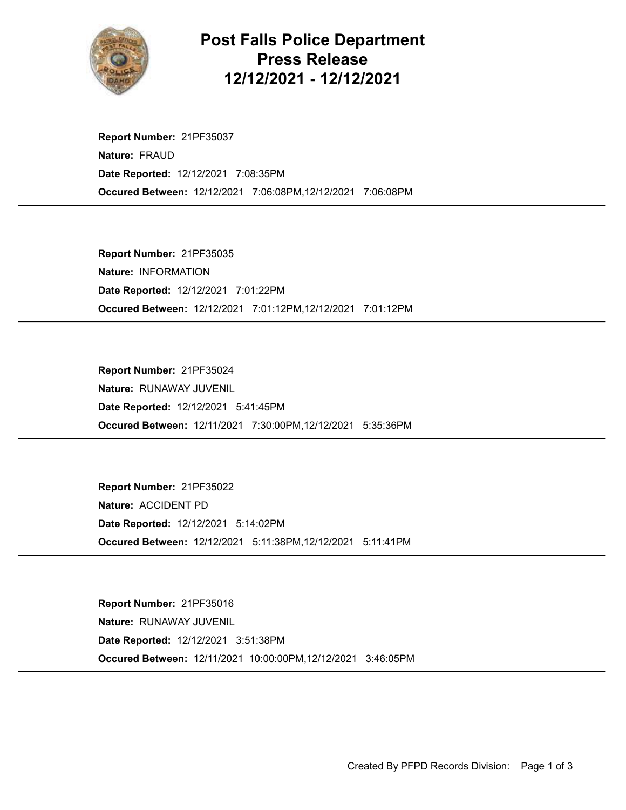

## Post Falls Police Department Press Release 12/12/2021 - 12/12/2021

Occured Between: 12/12/2021 7:06:08PM,12/12/2021 7:06:08PM Report Number: 21PF35037 Nature: FRAUD Date Reported: 12/12/2021 7:08:35PM

Occured Between: 12/12/2021 7:01:12PM,12/12/2021 7:01:12PM Report Number: 21PF35035 Nature: INFORMATION Date Reported: 12/12/2021 7:01:22PM

Occured Between: 12/11/2021 7:30:00PM,12/12/2021 5:35:36PM Report Number: 21PF35024 Nature: RUNAWAY JUVENIL Date Reported: 12/12/2021 5:41:45PM

Occured Between: 12/12/2021 5:11:38PM,12/12/2021 5:11:41PM Report Number: 21PF35022 Nature: ACCIDENT PD Date Reported: 12/12/2021 5:14:02PM

Occured Between: 12/11/2021 10:00:00PM,12/12/2021 3:46:05PM Report Number: 21PF35016 Nature: RUNAWAY JUVENIL Date Reported: 12/12/2021 3:51:38PM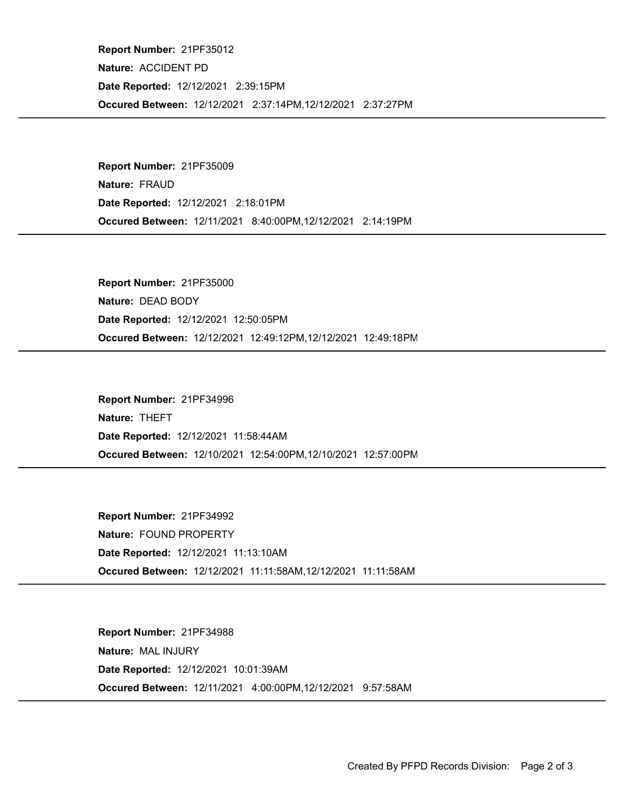Occured Between: 12/12/2021 2:37:14PM,12/12/2021 2:37:27PM Report Number: 21PF35012 Nature: ACCIDENT PD Date Reported: 12/12/2021 2:39:15PM

Occured Between: 12/11/2021 8:40:00PM,12/12/2021 2:14:19PM Report Number: 21PF35009 Nature: FRAUD Date Reported: 12/12/2021 2:18:01PM

Occured Between: 12/12/2021 12:49:12PM,12/12/2021 12:49:18PM Report Number: 21PF35000 Nature: DEAD BODY Date Reported: 12/12/2021 12:50:05PM

Occured Between: 12/10/2021 12:54:00PM,12/10/2021 12:57:00PM Report Number: 21PF34996 Nature: THEFT Date Reported: 12/12/2021 11:58:44AM

Occured Between: 12/12/2021 11:11:58AM,12/12/2021 11:11:58AM Report Number: 21PF34992 Nature: FOUND PROPERTY Date Reported: 12/12/2021 11:13:10AM

Occured Between: 12/11/2021 4:00:00PM,12/12/2021 9:57:58AM Report Number: 21PF34988 Nature: MAL INJURY Date Reported: 12/12/2021 10:01:39AM